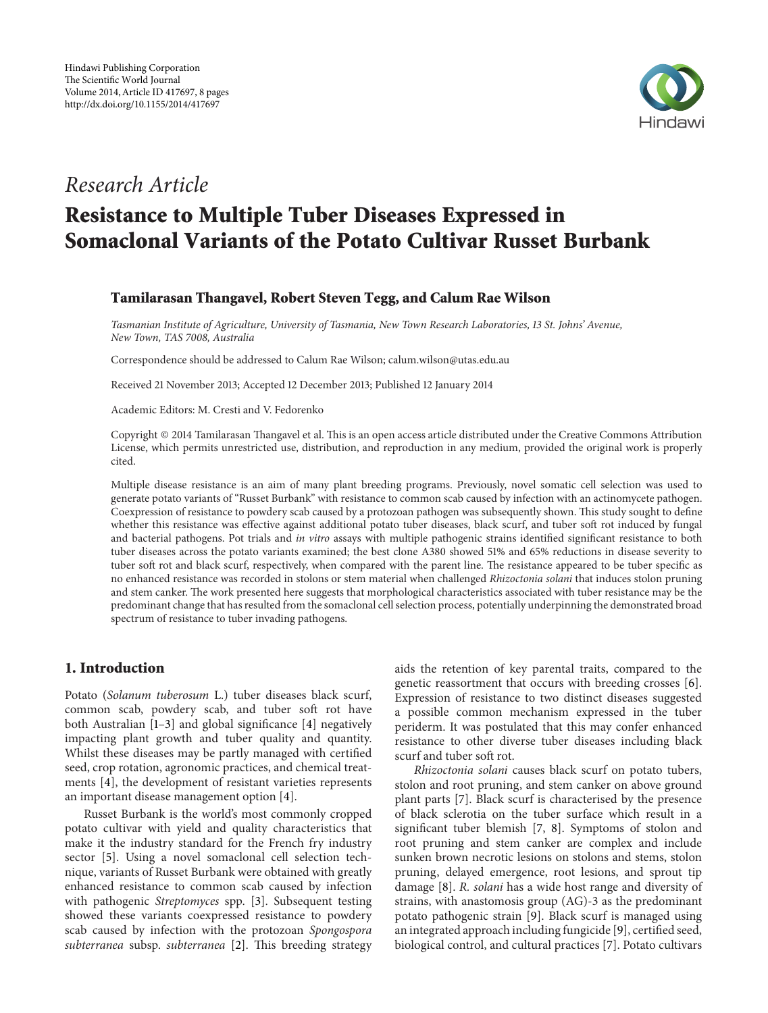

## *Research Article*

# **Resistance to Multiple Tuber Diseases Expressed in Somaclonal Variants of the Potato Cultivar Russet Burbank**

## **Tamilarasan Thangavel, Robert Steven Tegg, and Calum Rae Wilson**

*Tasmanian Institute of Agriculture, University of Tasmania, New Town Research Laboratories, 13 St. Johns' Avenue, New Town, TAS 7008, Australia*

Correspondence should be addressed to Calum Rae Wilson; calum.wilson@utas.edu.au

Received 21 November 2013; Accepted 12 December 2013; Published 12 January 2014

Academic Editors: M. Cresti and V. Fedorenko

Copyright © 2014 Tamilarasan Thangavel et al. This is an open access article distributed under the Creative Commons Attribution License, which permits unrestricted use, distribution, and reproduction in any medium, provided the original work is properly cited.

Multiple disease resistance is an aim of many plant breeding programs. Previously, novel somatic cell selection was used to generate potato variants of "Russet Burbank" with resistance to common scab caused by infection with an actinomycete pathogen. Coexpression of resistance to powdery scab caused by a protozoan pathogen was subsequently shown. This study sought to define whether this resistance was effective against additional potato tuber diseases, black scurf, and tuber soft rot induced by fungal and bacterial pathogens. Pot trials and *in vitro* assays with multiple pathogenic strains identified significant resistance to both tuber diseases across the potato variants examined; the best clone A380 showed 51% and 65% reductions in disease severity to tuber soft rot and black scurf, respectively, when compared with the parent line. The resistance appeared to be tuber specific as no enhanced resistance was recorded in stolons or stem material when challenged *Rhizoctonia solani* that induces stolon pruning and stem canker. The work presented here suggests that morphological characteristics associated with tuber resistance may be the predominant change that has resulted from the somaclonal cell selection process, potentially underpinning the demonstrated broad spectrum of resistance to tuber invading pathogens.

## **1. Introduction**

Potato (*Solanum tuberosum* L.) tuber diseases black scurf, common scab, powdery scab, and tuber soft rot have both Australian [1–3] and global significance [4] negatively impacting plant growth and tuber quality and quantity. Whilst these diseases may be partly managed with certified seed, crop rotation, agronomic practices, and chemical treatments [4], the development of resistant varieties represents an important disease management option [4].

Russet Burbank is the world's most commonly cropped potato cultivar with yield and quality characteristics that make it the industry standard for the French fry industry sector [5]. Using a novel somaclonal cell selection technique, variants of Russet Burbank were obtained with greatly enhanced resistance to common scab caused by infection with pathogenic *Streptomyces* spp. [3]. Subsequent testing showed these variants coexpressed resistance to powdery scab caused by infection with the protozoan *Spongospora subterranea* subsp. *subterranea* [2]. This breeding strategy

aids the retention of key parental traits, compared to the genetic reassortment that occurs with breeding crosses [6]. Expression of resistance to two distinct diseases suggested a possible common mechanism expressed in the tuber periderm. It was postulated that this may confer enhanced resistance to other diverse tuber diseases including black scurf and tuber soft rot.

*Rhizoctonia solani* causes black scurf on potato tubers, stolon and root pruning, and stem canker on above ground plant parts [7]. Black scurf is characterised by the presence of black sclerotia on the tuber surface which result in a significant tuber blemish [7, 8]. Symptoms of stolon and root pruning and stem canker are complex and include sunken brown necrotic lesions on stolons and stems, stolon pruning, delayed emergence, root lesions, and sprout tip damage [8]. *R. solani* has a wide host range and diversity of strains, with anastomosis group (AG)-3 as the predominant potato pathogenic strain [9]. Black scurf is managed using an integrated approach including fungicide [9], certified seed, biological control, and cultural practices [7]. Potato cultivars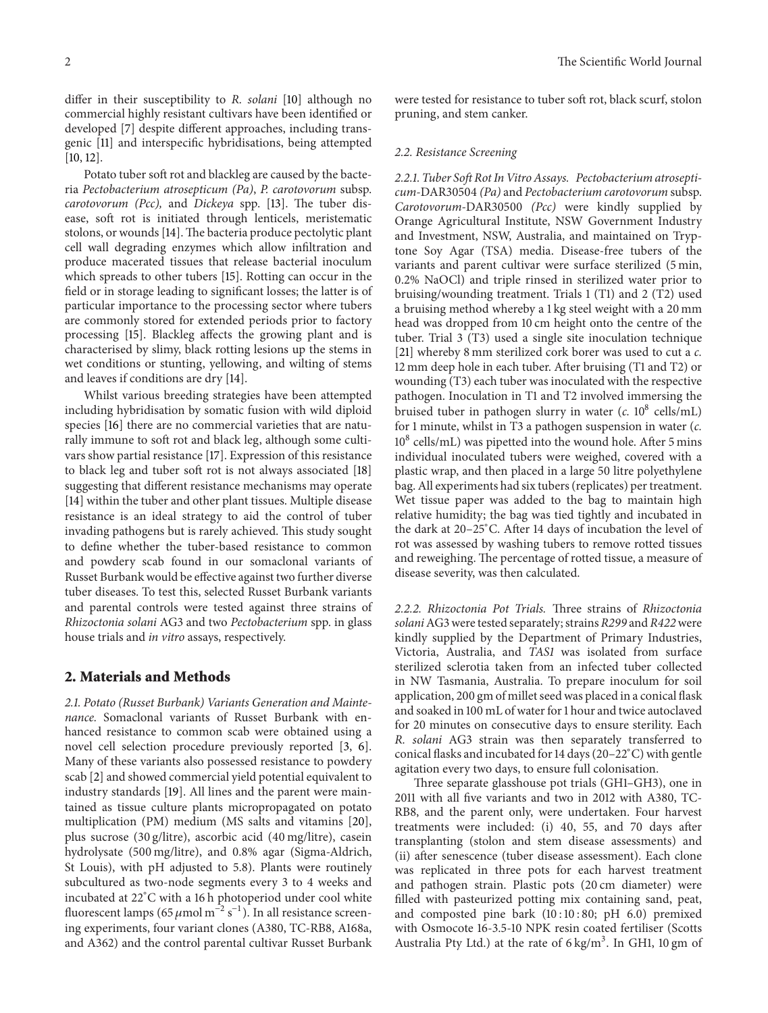differ in their susceptibility to *R. solani* [10] although no commercial highly resistant cultivars have been identified or developed [7] despite different approaches, including transgenic [11] and interspecific hybridisations, being attempted [10, 12].

Potato tuber soft rot and blackleg are caused by the bacteria *Pectobacterium atrosepticum (Pa)*, *P. carotovorum* subsp. *carotovorum (Pcc),* and *Dickeya* spp. [13]. The tuber disease, soft rot is initiated through lenticels, meristematic stolons, or wounds [14]. The bacteria produce pectolytic plant cell wall degrading enzymes which allow infiltration and produce macerated tissues that release bacterial inoculum which spreads to other tubers [15]. Rotting can occur in the field or in storage leading to significant losses; the latter is of particular importance to the processing sector where tubers are commonly stored for extended periods prior to factory processing [15]. Blackleg affects the growing plant and is characterised by slimy, black rotting lesions up the stems in wet conditions or stunting, yellowing, and wilting of stems and leaves if conditions are dry [14].

Whilst various breeding strategies have been attempted including hybridisation by somatic fusion with wild diploid species [16] there are no commercial varieties that are naturally immune to soft rot and black leg, although some cultivars show partial resistance [17]. Expression of this resistance to black leg and tuber soft rot is not always associated [18] suggesting that different resistance mechanisms may operate [14] within the tuber and other plant tissues. Multiple disease resistance is an ideal strategy to aid the control of tuber invading pathogens but is rarely achieved. This study sought to define whether the tuber-based resistance to common and powdery scab found in our somaclonal variants of Russet Burbank would be effective against two further diverse tuber diseases. To test this, selected Russet Burbank variants and parental controls were tested against three strains of *Rhizoctonia solani* AG3 and two *Pectobacterium* spp. in glass house trials and *in vitro* assays, respectively.

#### **2. Materials and Methods**

*2.1. Potato (Russet Burbank) Variants Generation and Maintenance.* Somaclonal variants of Russet Burbank with enhanced resistance to common scab were obtained using a novel cell selection procedure previously reported [3, 6]. Many of these variants also possessed resistance to powdery scab [2] and showed commercial yield potential equivalent to industry standards [19]. All lines and the parent were maintained as tissue culture plants micropropagated on potato multiplication (PM) medium (MS salts and vitamins [20], plus sucrose (30 g/litre), ascorbic acid (40 mg/litre), casein hydrolysate (500 mg/litre), and 0.8% agar (Sigma-Aldrich, St Louis), with pH adjusted to 5.8). Plants were routinely subcultured as two-node segments every 3 to 4 weeks and incubated at 22<sup>∘</sup> C with a 16 h photoperiod under cool white fluorescent lamps (65  $\mu$ mol m<sup>-2</sup> s<sup>-1</sup>). In all resistance screening experiments, four variant clones (A380, TC-RB8, A168a, and A362) and the control parental cultivar Russet Burbank were tested for resistance to tuber soft rot, black scurf, stolon pruning, and stem canker.

#### *2.2. Resistance Screening*

*2.2.1. Tuber Soft Rot In Vitro Assays. Pectobacterium atrosepticum-*DAR30504 *(Pa)* and *Pectobacterium carotovorum* subsp. *Carotovorum-*DAR30500 *(Pcc)* were kindly supplied by Orange Agricultural Institute, NSW Government Industry and Investment, NSW, Australia, and maintained on Tryptone Soy Agar (TSA) media. Disease-free tubers of the variants and parent cultivar were surface sterilized (5 min, 0.2% NaOCl) and triple rinsed in sterilized water prior to bruising/wounding treatment. Trials 1 (T1) and 2 (T2) used a bruising method whereby a 1 kg steel weight with a 20 mm head was dropped from 10 cm height onto the centre of the tuber. Trial 3 (T3) used a single site inoculation technique [21] whereby 8 mm sterilized cork borer was used to cut a *c.* 12 mm deep hole in each tuber. After bruising (T1 and T2) or wounding (T3) each tuber was inoculated with the respective pathogen. Inoculation in T1 and T2 involved immersing the bruised tuber in pathogen slurry in water  $(c. 10^8 \text{ cells/mL})$ for 1 minute, whilst in T3 a pathogen suspension in water (*c.*  $10^8$  cells/mL) was pipetted into the wound hole. After 5 mins individual inoculated tubers were weighed, covered with a plastic wrap, and then placed in a large 50 litre polyethylene bag. All experiments had six tubers (replicates) per treatment. Wet tissue paper was added to the bag to maintain high relative humidity; the bag was tied tightly and incubated in the dark at 20–25<sup>∘</sup> C. After 14 days of incubation the level of rot was assessed by washing tubers to remove rotted tissues and reweighing. The percentage of rotted tissue, a measure of disease severity, was then calculated.

*2.2.2. Rhizoctonia Pot Trials.* Three strains of *Rhizoctonia solani*AG3 were tested separately; strains *R299* and *R422*were kindly supplied by the Department of Primary Industries, Victoria, Australia, and *TAS1* was isolated from surface sterilized sclerotia taken from an infected tuber collected in NW Tasmania, Australia. To prepare inoculum for soil application, 200 gm of millet seed was placed in a conical flask and soaked in 100 mL of water for 1 hour and twice autoclaved for 20 minutes on consecutive days to ensure sterility. Each *R. solani* AG3 strain was then separately transferred to conical flasks and incubated for 14 days (20–22<sup>∘</sup> C) with gentle agitation every two days, to ensure full colonisation.

Three separate glasshouse pot trials (GH1–GH3), one in 2011 with all five variants and two in 2012 with A380, TC-RB8, and the parent only, were undertaken. Four harvest treatments were included: (i) 40, 55, and 70 days after transplanting (stolon and stem disease assessments) and (ii) after senescence (tuber disease assessment). Each clone was replicated in three pots for each harvest treatment and pathogen strain. Plastic pots (20 cm diameter) were filled with pasteurized potting mix containing sand, peat, and composted pine bark (10 : 10 : 80; pH 6.0) premixed with Osmocote 16-3.5-10 NPK resin coated fertiliser (Scotts Australia Pty Ltd.) at the rate of  $6 \text{ kg/m}^3$ . In GH1, 10 gm of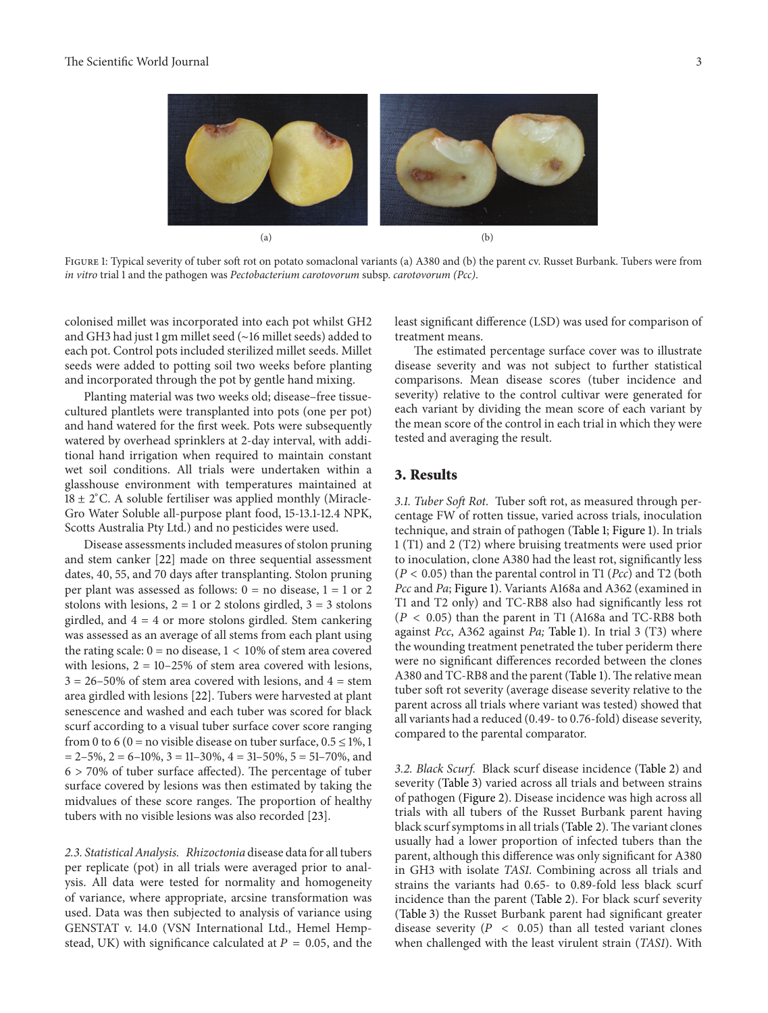

Figure 1: Typical severity of tuber soft rot on potato somaclonal variants (a) A380 and (b) the parent cv. Russet Burbank. Tubers were from *in vitro* trial 1 and the pathogen was *Pectobacterium carotovorum* subsp. *carotovorum (Pcc)*.

colonised millet was incorporated into each pot whilst GH2 and GH3 had just 1 gm millet seed (∼16 millet seeds) added to each pot. Control pots included sterilized millet seeds. Millet seeds were added to potting soil two weeks before planting and incorporated through the pot by gentle hand mixing.

Planting material was two weeks old; disease–free tissuecultured plantlets were transplanted into pots (one per pot) and hand watered for the first week. Pots were subsequently watered by overhead sprinklers at 2-day interval, with additional hand irrigation when required to maintain constant wet soil conditions. All trials were undertaken within a glasshouse environment with temperatures maintained at 18 ± 2<sup>∘</sup> C. A soluble fertiliser was applied monthly (Miracle-Gro Water Soluble all-purpose plant food, 15-13.1-12.4 NPK, Scotts Australia Pty Ltd.) and no pesticides were used.

Disease assessments included measures of stolon pruning and stem canker [22] made on three sequential assessment dates, 40, 55, and 70 days after transplanting. Stolon pruning per plant was assessed as follows:  $0 =$  no disease,  $1 = 1$  or 2 stolons with lesions,  $2 = 1$  or 2 stolons girdled,  $3 = 3$  stolons girdled, and 4 = 4 or more stolons girdled. Stem cankering was assessed as an average of all stems from each plant using the rating scale:  $0 = no$  disease,  $1 < 10\%$  of stem area covered with lesions,  $2 = 10-25\%$  of stem area covered with lesions,  $3 = 26 - 50\%$  of stem area covered with lesions, and  $4 =$  stem area girdled with lesions [22]. Tubers were harvested at plant senescence and washed and each tuber was scored for black scurf according to a visual tuber surface cover score ranging from 0 to 6 (0 = no visible disease on tuber surface,  $0.5 \le 1\%$ , 1  $= 2-5\%, 2 = 6-10\%, 3 = 11-30\%, 4 = 31-50\%, 5 = 51-70\%, \text{and}$ 6 > 70% of tuber surface affected). The percentage of tuber surface covered by lesions was then estimated by taking the midvalues of these score ranges. The proportion of healthy tubers with no visible lesions was also recorded [23].

*2.3. Statistical Analysis. Rhizoctonia* disease data for all tubers per replicate (pot) in all trials were averaged prior to analysis. All data were tested for normality and homogeneity of variance, where appropriate, arcsine transformation was used. Data was then subjected to analysis of variance using GENSTAT v. 14.0 (VSN International Ltd., Hemel Hempstead, UK) with significance calculated at  $P = 0.05$ , and the least significant difference (LSD) was used for comparison of treatment means.

The estimated percentage surface cover was to illustrate disease severity and was not subject to further statistical comparisons. Mean disease scores (tuber incidence and severity) relative to the control cultivar were generated for each variant by dividing the mean score of each variant by the mean score of the control in each trial in which they were tested and averaging the result.

### **3. Results**

*3.1. Tuber Soft Rot.* Tuber soft rot, as measured through percentage FW of rotten tissue, varied across trials, inoculation technique, and strain of pathogen (Table 1; Figure 1). In trials 1 (T1) and 2 (T2) where bruising treatments were used prior to inoculation, clone A380 had the least rot, significantly less  $(P < 0.05)$  than the parental control in T1 (*Pcc*) and T2 (both *Pcc* and *Pa*; Figure 1). Variants A168a and A362 (examined in T1 and T2 only) and TC-RB8 also had significantly less rot  $(P < 0.05)$  than the parent in T1 (A168a and TC-RB8 both against *Pcc*, A362 against *Pa;* Table 1). In trial 3 (T3) where the wounding treatment penetrated the tuber periderm there were no significant differences recorded between the clones A380 and TC-RB8 and the parent (Table 1). The relative mean tuber soft rot severity (average disease severity relative to the parent across all trials where variant was tested) showed that all variants had a reduced (0.49- to 0.76-fold) disease severity, compared to the parental comparator.

*3.2. Black Scurf.* Black scurf disease incidence (Table 2) and severity (Table 3) varied across all trials and between strains of pathogen (Figure 2). Disease incidence was high across all trials with all tubers of the Russet Burbank parent having black scurf symptoms in all trials (Table 2). The variant clones usually had a lower proportion of infected tubers than the parent, although this difference was only significant for A380 in GH3 with isolate *TAS1*. Combining across all trials and strains the variants had 0.65- to 0.89-fold less black scurf incidence than the parent (Table 2). For black scurf severity (Table 3) the Russet Burbank parent had significant greater disease severity ( $P < 0.05$ ) than all tested variant clones when challenged with the least virulent strain (*TAS1*). With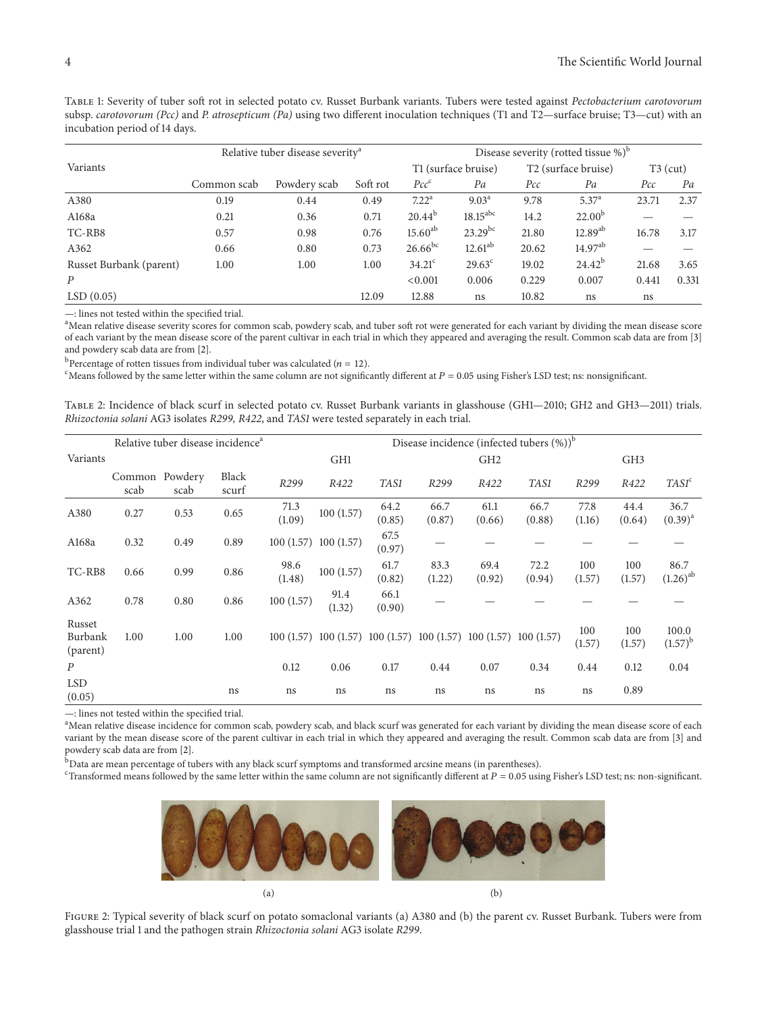Table 1: Severity of tuber soft rot in selected potato cv. Russet Burbank variants. Tubers were tested against *Pectobacterium carotovorum* subsp. *carotovorum (Pcc)* and *P. atrosepticum (Pa)* using two different inoculation techniques (T1 and T2—surface bruise; T3—cut) with an incubation period of 14 days.

|                         |             | Relative tuber disease severity <sup>a</sup> |          | Disease severity (rotted tissue $\%$ ) <sup>b</sup> |                        |                                 |                   |            |       |  |
|-------------------------|-------------|----------------------------------------------|----------|-----------------------------------------------------|------------------------|---------------------------------|-------------------|------------|-------|--|
| Variants                |             |                                              |          | T1 (surface bruise)                                 |                        | T <sub>2</sub> (surface bruise) |                   | $T3$ (cut) |       |  |
|                         | Common scab | Powdery scab                                 | Soft rot | $Pcc^c$                                             | Pa                     | Pcc                             | Pa                | Pcc        | Pa    |  |
| A380                    | 0.19        | 0.44                                         | 0.49     | 7.22 <sup>a</sup>                                   | $9.03^{\text{a}}$      | 9.78                            | 5.37 <sup>a</sup> | 23.71      | 2.37  |  |
| A168a                   | 0.21        | 0.36                                         | 0.71     | $20.44^{b}$                                         | $18.15$ <sup>abc</sup> | 14.2                            | $22.00^{b}$       |            |       |  |
| TC-RB8                  | 0.57        | 0.98                                         | 0.76     | $15.60^{ab}$                                        | $23.29^{bc}$           | 21.80                           | $12.89^{ab}$      | 16.78      | 3.17  |  |
| A362                    | 0.66        | 0.80                                         | 0.73     | $26.66^{bc}$                                        | $12.61^{ab}$           | 20.62                           | $14.97^{ab}$      |            |       |  |
| Russet Burbank (parent) | 1.00        | 1.00                                         | 1.00     | $34.21^{\circ}$                                     | $29.63^{\circ}$        | 19.02                           | $24.42^{b}$       | 21.68      | 3.65  |  |
| $\boldsymbol{P}$        |             |                                              |          | < 0.001                                             | 0.006                  | 0.229                           | 0.007             | 0.441      | 0.331 |  |
| LSD(0.05)               |             |                                              | 12.09    | 12.88                                               | ns                     | 10.82                           | ns                | ns         |       |  |

—: lines not tested within the specified trial.

<sup>a</sup>Mean relative disease severity scores for common scab, powdery scab, and tuber soft rot were generated for each variant by dividing the mean disease score of each variant by the mean disease score of the parent cultivar in each trial in which they appeared and averaging the result. Common scab data are from [3] and powdery scab data are from [2].

<sup>b</sup> Percentage of rotten tissues from individual tuber was calculated ( $n = 12$ ).<br>CMeans followed by the same letter within the same column are not significa

<sup>c</sup>Means followed by the same letter within the same column are not significantly different at  $P = 0.05$  using Fisher's LSD test; ns: nonsignificant.

Table 2: Incidence of black scurf in selected potato cv. Russet Burbank variants in glasshouse (GH1—2010; GH2 and GH3—2011) trials. *Rhizoctonia solani* AG3 isolates *R299, R422*, and *TAS1* were tested separately in each trial.

|                               |                        | Relative tuber disease incidence <sup>a</sup> |                |                | Disease incidence (infected tubers $(\%)$ ) <sup>b</sup>                |                |                |                 |                |                |                 |                       |  |  |
|-------------------------------|------------------------|-----------------------------------------------|----------------|----------------|-------------------------------------------------------------------------|----------------|----------------|-----------------|----------------|----------------|-----------------|-----------------------|--|--|
| Variants                      |                        |                                               |                |                | GH1                                                                     |                |                | GH <sub>2</sub> |                |                | GH <sub>3</sub> |                       |  |  |
|                               | Common Powdery<br>scab | scab                                          | Black<br>scurf | R299           | R422                                                                    | TAS1           | R299           | R422            | TAS1           | R299           | R422            | TASI <sup>c</sup>     |  |  |
| A380                          | 0.27                   | 0.53                                          | 0.65           | 71.3<br>(1.09) | 100(1.57)                                                               | 64.2<br>(0.85) | 66.7<br>(0.87) | 61.1<br>(0.66)  | 66.7<br>(0.88) | 77.8<br>(1.16) | 44.4<br>(0.64)  | 36.7<br>$(0.39)^{a}$  |  |  |
| A168a                         | 0.32                   | 0.49                                          | 0.89           |                | $100(1.57)$ $100(1.57)$                                                 | 67.5<br>(0.97) |                |                 |                |                |                 |                       |  |  |
| TC-RB8                        | 0.66                   | 0.99                                          | 0.86           | 98.6<br>(1.48) | 100(1.57)                                                               | 61.7<br>(0.82) | 83.3<br>(1.22) | 69.4<br>(0.92)  | 72.2<br>(0.94) | 100<br>(1.57)  | 100<br>(1.57)   | 86.7<br>$(1.26)^{ab}$ |  |  |
| A362                          | 0.78                   | 0.80                                          | 0.86           | 100(1.57)      | 91.4<br>(1.32)                                                          | 66.1<br>(0.90) |                |                 |                |                |                 |                       |  |  |
| Russet<br>Burbank<br>(parent) | 1.00                   | 1.00                                          | 1.00           |                | $100(1.57)$ $100(1.57)$ $100(1.57)$ $100(1.57)$ $100(1.57)$ $100(1.57)$ |                |                |                 |                | 100<br>(1.57)  | 100<br>(1.57)   | 100.0<br>$(1.57)^{b}$ |  |  |
| $\boldsymbol{P}$              |                        |                                               |                | 0.12           | 0.06                                                                    | 0.17           | 0.44           | 0.07            | 0.34           | 0.44           | 0.12            | 0.04                  |  |  |
| <b>LSD</b><br>(0.05)          |                        |                                               | ns             | ns             | ns                                                                      | ns             | ns             | ns              | ns             | ns             | 0.89            |                       |  |  |

—: lines not tested within the specified trial.

<sup>a</sup>Mean relative disease incidence for common scab, powdery scab, and black scurf was generated for each variant by dividing the mean disease score of each variant by the mean disease score of the parent cultivar in each trial in which they appeared and averaging the result. Common scab data are from [3] and powdery scab data are from [2].

**b** Data are mean percentage of tubers with any black scurf symptoms and transformed arcsine means (in parentheses).

<sup>c</sup>Transformed means followed by the same letter within the same column are not significantly different at  $P = 0.05$  using Fisher's LSD test; ns: non-significant.



FIGURE 2: Typical severity of black scurf on potato somaclonal variants (a) A380 and (b) the parent cv. Russet Burbank. Tubers were from glasshouse trial 1 and the pathogen strain *Rhizoctonia solani* AG3 isolate *R299*.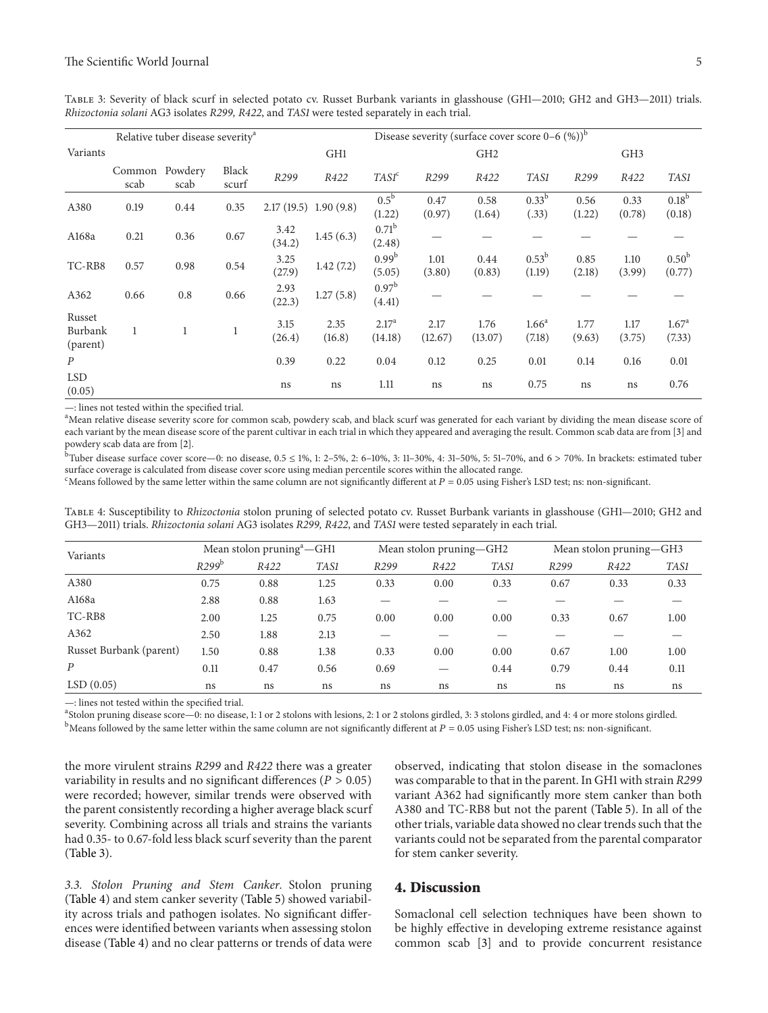Table 3: Severity of black scurf in selected potato cv. Russet Burbank variants in glasshouse (GH1—2010; GH2 and GH3—2011) trials. *Rhizoctonia solani* AG3 isolates *R299, R422*, and *TAS1* were tested separately in each trial.

|                               |                | Relative tuber disease severity <sup>a</sup> |                |                         | Disease severity (surface cover score $0-6$ (%)) <sup>b</sup> |                              |                 |                 |                             |                  |                 |                             |  |  |
|-------------------------------|----------------|----------------------------------------------|----------------|-------------------------|---------------------------------------------------------------|------------------------------|-----------------|-----------------|-----------------------------|------------------|-----------------|-----------------------------|--|--|
| Variants                      |                |                                              |                |                         | GH <sub>1</sub>                                               |                              |                 | GH <sub>2</sub> |                             |                  | GH <sub>3</sub> |                             |  |  |
|                               | Common<br>scab | Powdery<br>scab                              | Black<br>scurf | R <sub>299</sub>        | R422                                                          | TASI <sup>c</sup>            | R299            | R422            | TAS1                        | R <sub>299</sub> | R422            | TAS1                        |  |  |
| A380                          | 0.19           | 0.44                                         | 0.35           | $2.17(19.5)$ 1.90 (9.8) |                                                               | $0.5^{\rm b}$<br>(1.22)      | 0.47<br>(0.97)  | 0.58<br>(1.64)  | 0.33 <sup>b</sup><br>(.33)  | 0.56<br>(1.22)   | 0.33<br>(0.78)  | 0.18 <sup>b</sup><br>(0.18) |  |  |
| A168a                         | 0.21           | 0.36                                         | 0.67           | 3.42<br>(34.2)          | 1.45(6.3)                                                     | 0.71 <sup>b</sup><br>(2.48)  |                 |                 |                             |                  |                 |                             |  |  |
| TC-RB8                        | 0.57           | 0.98                                         | 0.54           | 3.25<br>(27.9)          | 1.42(7.2)                                                     | $0.99^{b}$<br>(5.05)         | 1.01<br>(3.80)  | 0.44<br>(0.83)  | $0.53^{b}$<br>(1.19)        | 0.85<br>(2.18)   | 1.10<br>(3.99)  | 0.50 <sup>b</sup><br>(0.77) |  |  |
| A362                          | 0.66           | 0.8                                          | 0.66           | 2.93<br>(22.3)          | 1.27(5.8)                                                     | 0.97 <sup>b</sup><br>(4.41)  |                 |                 |                             |                  |                 |                             |  |  |
| Russet<br>Burbank<br>(parent) | $\mathbf{1}$   |                                              |                | 3.15<br>(26.4)          | 2.35<br>(16.8)                                                | 2.17 <sup>a</sup><br>(14.18) | 2.17<br>(12.67) | 1.76<br>(13.07) | 1.66 <sup>a</sup><br>(7.18) | 1.77<br>(9.63)   | 1.17<br>(3.75)  | 1.67 <sup>a</sup><br>(7.33) |  |  |
| $\boldsymbol{P}$              |                |                                              |                | 0.39                    | 0.22                                                          | 0.04                         | 0.12            | 0.25            | 0.01                        | 0.14             | 0.16            | 0.01                        |  |  |
| <b>LSD</b><br>(0.05)          |                |                                              |                | ns                      | ns                                                            | 1.11                         | ns              | ns              | 0.75                        | ns               | ns              | 0.76                        |  |  |

—: lines not tested within the specified trial.

<sup>a</sup>Mean relative disease severity score for common scab, powdery scab, and black scurf was generated for each variant by dividing the mean disease score of each variant by the mean disease score of the parent cultivar in each trial in which they appeared and averaging the result. Common scab data are from [3] and powdery scab data are from [2].

b Tuber disease surface cover score—0: no disease,  $0.5 \le 1\%, 1: 2-5\%, 2: 6-10\%, 3: 11-30\%, 4: 31-50\%, 5: 51-70\%, and 6 > 70\%. In brackets: estimated tube$ surface coverage is calculated from disease cover score using median percentile scores within the allocated range.

<sup>c</sup>Means followed by the same letter within the same column are not significantly different at  $P = 0.05$  using Fisher's LSD test; ns: non-significant.

Table 4: Susceptibility to *Rhizoctonia* stolon pruning of selected potato cv. Russet Burbank variants in glasshouse (GH1—2010; GH2 and GH3—2011) trials. *Rhizoctonia solani* AG3 isolates *R299, R422*, and *TAS1* were tested separately in each trial.

| Variants                |                   | Mean stolon pruning <sup>a</sup> —GH1 |      |                  | Mean stolon pruning-GH2 |      | Mean stolon pruning-GH3 |      |      |
|-------------------------|-------------------|---------------------------------------|------|------------------|-------------------------|------|-------------------------|------|------|
|                         | R299 <sup>b</sup> | R422                                  | TAS1 | R <sub>299</sub> | R422                    | TAS1 | R <sub>299</sub>        | R422 | TAS1 |
| A380                    | 0.75              | 0.88                                  | 1.25 | 0.33             | 0.00                    | 0.33 | 0.67                    | 0.33 | 0.33 |
| A168a                   | 2.88              | 0.88                                  | 1.63 |                  |                         |      |                         |      |      |
| TC-RB8                  | 2.00              | 1.25                                  | 0.75 | 0.00             | 0.00                    | 0.00 | 0.33                    | 0.67 | 1.00 |
| A362                    | 2.50              | 1.88                                  | 2.13 |                  |                         |      |                         |      |      |
| Russet Burbank (parent) | 1.50              | 0.88                                  | 1.38 | 0.33             | 0.00                    | 0.00 | 0.67                    | 1.00 | 1.00 |
| $\boldsymbol{P}$        | 0.11              | 0.47                                  | 0.56 | 0.69             |                         | 0.44 | 0.79                    | 0.44 | 0.11 |
| LSD(0.05)               | ns                | ns                                    | ns   | ns               | ns                      | ns   | ns                      | ns   | ns   |

—: lines not tested within the specified trial.

a Stolon pruning disease score—0: no disease, 1: 1 or 2 stolons with lesions, 2: 1 or 2 stolons girdled, 3: 3 stolons girdled, and 4: 4 or more stolons girdled.  $^{\rm b}$ Means followed by the same letter within the same column are not significantly different at  $P=0.05$  using Fisher's LSD test; ns: non-significant.

the more virulent strains *R299* and *R422* there was a greater variability in results and no significant differences ( $P > 0.05$ ) were recorded; however, similar trends were observed with the parent consistently recording a higher average black scurf severity. Combining across all trials and strains the variants had 0.35- to 0.67-fold less black scurf severity than the parent (Table 3).

observed, indicating that stolon disease in the somaclones was comparable to that in the parent. In GH1 with strain *R299* variant A362 had significantly more stem canker than both A380 and TC-RB8 but not the parent (Table 5). In all of the other trials, variable data showed no clear trends such that the variants could not be separated from the parental comparator for stem canker severity.

*3.3. Stolon Pruning and Stem Canker.* Stolon pruning (Table 4) and stem canker severity (Table 5) showed variability across trials and pathogen isolates. No significant differences were identified between variants when assessing stolon disease (Table 4) and no clear patterns or trends of data were

#### **4. Discussion**

Somaclonal cell selection techniques have been shown to be highly effective in developing extreme resistance against common scab [3] and to provide concurrent resistance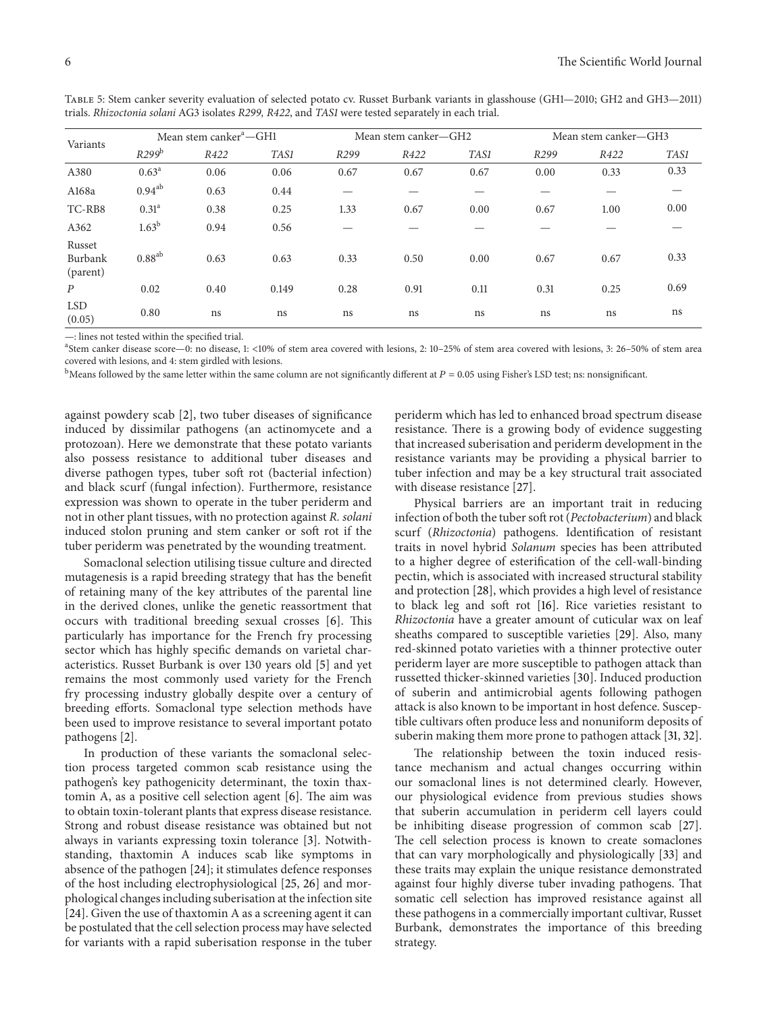| Variants                      |                   | Mean stem canker <sup>a</sup> —GH1 |       |      | Mean stem canker-GH2 |      | Mean stem canker-GH3 |      |      |  |
|-------------------------------|-------------------|------------------------------------|-------|------|----------------------|------|----------------------|------|------|--|
|                               | R299 <sup>b</sup> | R422                               | TAS1  | R299 | R422                 | TAS1 | R299                 | R422 | TAS1 |  |
| A380                          | $0.63^{\rm a}$    | 0.06                               | 0.06  | 0.67 | 0.67                 | 0.67 | 0.00                 | 0.33 | 0.33 |  |
| A168a                         | $0.94^{ab}$       | 0.63                               | 0.44  |      |                      |      |                      |      |      |  |
| TC-RB8                        | 0.31 <sup>a</sup> | 0.38                               | 0.25  | 1.33 | 0.67                 | 0.00 | 0.67                 | 1.00 | 0.00 |  |
| A362                          | 1.63 <sup>b</sup> | 0.94                               | 0.56  |      |                      |      |                      |      |      |  |
| Russet<br>Burbank<br>(parent) | $0.88^{ab}$       | 0.63                               | 0.63  | 0.33 | 0.50                 | 0.00 | 0.67                 | 0.67 | 0.33 |  |
| $\boldsymbol{P}$              | 0.02              | 0.40                               | 0.149 | 0.28 | 0.91                 | 0.11 | 0.31                 | 0.25 | 0.69 |  |
| <b>LSD</b><br>(0.05)          | 0.80              | ns                                 | ns    | ns   | ns                   | ns   | ns                   | ns   | ns   |  |

Table 5: Stem canker severity evaluation of selected potato cv. Russet Burbank variants in glasshouse (GH1—2010; GH2 and GH3—2011) trials. *Rhizoctonia solani* AG3 isolates *R299, R422*, and *TAS1* were tested separately in each trial.

—: lines not tested within the specified trial.

a Stem canker disease score—0: no disease, 1: <10% of stem area covered with lesions, 2: 10–25% of stem area covered with lesions, 3: 26–50% of stem area covered with lesions, and 4: stem girdled with lesions.

 $^{\rm b}$ Means followed by the same letter within the same column are not significantly different at  $P = 0.05$  using Fisher's LSD test; ns: nonsignificant.

against powdery scab [2], two tuber diseases of significance induced by dissimilar pathogens (an actinomycete and a protozoan). Here we demonstrate that these potato variants also possess resistance to additional tuber diseases and diverse pathogen types, tuber soft rot (bacterial infection) and black scurf (fungal infection). Furthermore, resistance expression was shown to operate in the tuber periderm and not in other plant tissues, with no protection against *R. solani* induced stolon pruning and stem canker or soft rot if the tuber periderm was penetrated by the wounding treatment.

Somaclonal selection utilising tissue culture and directed mutagenesis is a rapid breeding strategy that has the benefit of retaining many of the key attributes of the parental line in the derived clones, unlike the genetic reassortment that occurs with traditional breeding sexual crosses [6]. This particularly has importance for the French fry processing sector which has highly specific demands on varietal characteristics. Russet Burbank is over 130 years old [5] and yet remains the most commonly used variety for the French fry processing industry globally despite over a century of breeding efforts. Somaclonal type selection methods have been used to improve resistance to several important potato pathogens [2].

In production of these variants the somaclonal selection process targeted common scab resistance using the pathogen's key pathogenicity determinant, the toxin thaxtomin A, as a positive cell selection agent [6]. The aim was to obtain toxin-tolerant plants that express disease resistance. Strong and robust disease resistance was obtained but not always in variants expressing toxin tolerance [3]. Notwithstanding, thaxtomin A induces scab like symptoms in absence of the pathogen [24]; it stimulates defence responses of the host including electrophysiological [25, 26] and morphological changes including suberisation at the infection site [24]. Given the use of thaxtomin A as a screening agent it can be postulated that the cell selection process may have selected for variants with a rapid suberisation response in the tuber

periderm which has led to enhanced broad spectrum disease resistance. There is a growing body of evidence suggesting that increased suberisation and periderm development in the resistance variants may be providing a physical barrier to tuber infection and may be a key structural trait associated with disease resistance [27].

Physical barriers are an important trait in reducing infection of both the tuber soft rot (*Pectobacterium*) and black scurf (*Rhizoctonia*) pathogens. Identification of resistant traits in novel hybrid *Solanum* species has been attributed to a higher degree of esterification of the cell-wall-binding pectin, which is associated with increased structural stability and protection [28], which provides a high level of resistance to black leg and soft rot [16]. Rice varieties resistant to *Rhizoctonia* have a greater amount of cuticular wax on leaf sheaths compared to susceptible varieties [29]. Also, many red-skinned potato varieties with a thinner protective outer periderm layer are more susceptible to pathogen attack than russetted thicker-skinned varieties [30]. Induced production of suberin and antimicrobial agents following pathogen attack is also known to be important in host defence. Susceptible cultivars often produce less and nonuniform deposits of suberin making them more prone to pathogen attack [31, 32].

The relationship between the toxin induced resistance mechanism and actual changes occurring within our somaclonal lines is not determined clearly. However, our physiological evidence from previous studies shows that suberin accumulation in periderm cell layers could be inhibiting disease progression of common scab [27]. The cell selection process is known to create somaclones that can vary morphologically and physiologically [33] and these traits may explain the unique resistance demonstrated against four highly diverse tuber invading pathogens. That somatic cell selection has improved resistance against all these pathogens in a commercially important cultivar, Russet Burbank, demonstrates the importance of this breeding strategy.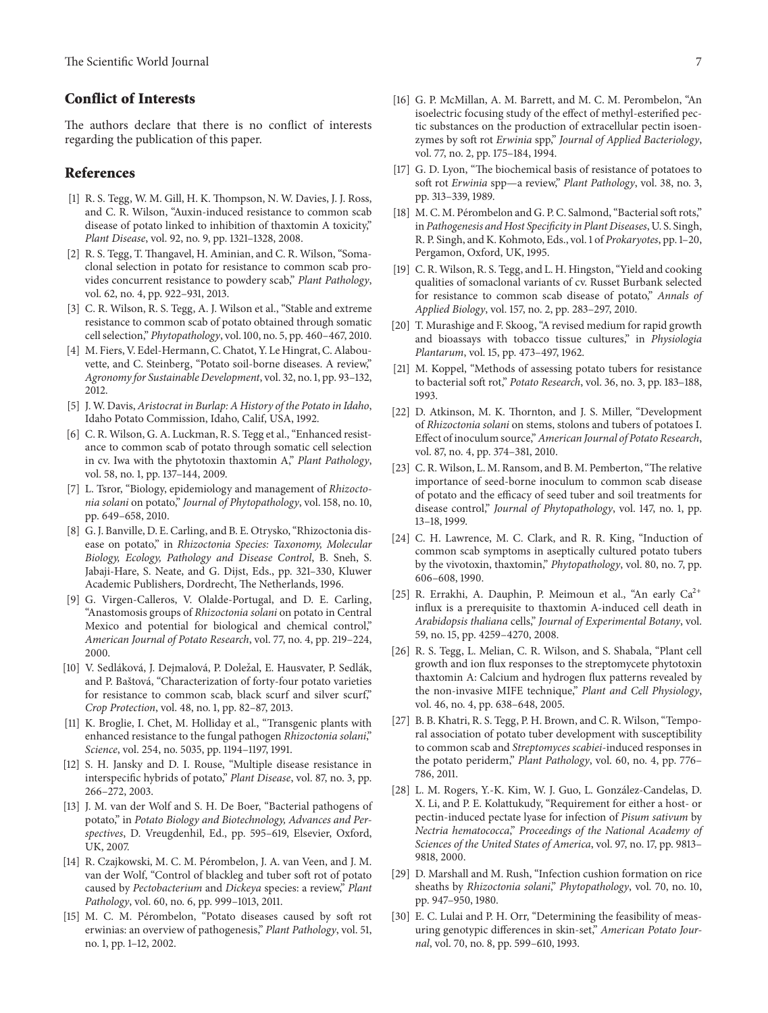## **Conflict of Interests**

The authors declare that there is no conflict of interests regarding the publication of this paper.

#### **References**

- [1] R. S. Tegg, W. M. Gill, H. K. Thompson, N. W. Davies, J. J. Ross, and C. R. Wilson, "Auxin-induced resistance to common scab disease of potato linked to inhibition of thaxtomin A toxicity," *Plant Disease*, vol. 92, no. 9, pp. 1321–1328, 2008.
- [2] R. S. Tegg, T. Thangavel, H. Aminian, and C. R. Wilson, "Somaclonal selection in potato for resistance to common scab provides concurrent resistance to powdery scab," *Plant Pathology*, vol. 62, no. 4, pp. 922–931, 2013.
- [3] C. R. Wilson, R. S. Tegg, A. J. Wilson et al., "Stable and extreme resistance to common scab of potato obtained through somatic cell selection," *Phytopathology*, vol. 100, no. 5, pp. 460–467, 2010.
- [4] M. Fiers, V. Edel-Hermann, C. Chatot, Y. Le Hingrat, C. Alabouvette, and C. Steinberg, "Potato soil-borne diseases. A review," *Agronomy for Sustainable Development*, vol. 32, no. 1, pp. 93–132, 2012.
- [5] J. W. Davis, *Aristocrat in Burlap: A History of the Potato in Idaho*, Idaho Potato Commission, Idaho, Calif, USA, 1992.
- [6] C. R. Wilson, G. A. Luckman, R. S. Tegg et al., "Enhanced resistance to common scab of potato through somatic cell selection in cv. Iwa with the phytotoxin thaxtomin A," *Plant Pathology*, vol. 58, no. 1, pp. 137–144, 2009.
- [7] L. Tsror, "Biology, epidemiology and management of *Rhizoctonia solani* on potato," *Journal of Phytopathology*, vol. 158, no. 10, pp. 649–658, 2010.
- [8] G. J. Banville, D. E. Carling, and B. E. Otrysko, "Rhizoctonia disease on potato," in *Rhizoctonia Species: Taxonomy, Molecular Biology, Ecology, Pathology and Disease Control*, B. Sneh, S. Jabaji-Hare, S. Neate, and G. Dijst, Eds., pp. 321–330, Kluwer Academic Publishers, Dordrecht, The Netherlands, 1996.
- [9] G. Virgen-Calleros, V. Olalde-Portugal, and D. E. Carling, "Anastomosis groups of *Rhizoctonia solani* on potato in Central Mexico and potential for biological and chemical control," *American Journal of Potato Research*, vol. 77, no. 4, pp. 219–224, 2000.
- [10] V. Sedláková, J. Dejmalová, P. Doležal, E. Hausvater, P. Sedlák, and P. Baštová, "Characterization of forty-four potato varieties for resistance to common scab, black scurf and silver scurf," *Crop Protection*, vol. 48, no. 1, pp. 82–87, 2013.
- [11] K. Broglie, I. Chet, M. Holliday et al., "Transgenic plants with enhanced resistance to the fungal pathogen *Rhizoctonia solani*," *Science*, vol. 254, no. 5035, pp. 1194–1197, 1991.
- [12] S. H. Jansky and D. I. Rouse, "Multiple disease resistance in interspecific hybrids of potato," *Plant Disease*, vol. 87, no. 3, pp. 266–272, 2003.
- [13] J. M. van der Wolf and S. H. De Boer, "Bacterial pathogens of potato," in *Potato Biology and Biotechnology, Advances and Perspectives*, D. Vreugdenhil, Ed., pp. 595–619, Elsevier, Oxford, UK, 2007.
- [14] R. Czajkowski, M. C. M. Pérombelon, J. A. van Veen, and J. M. van der Wolf, "Control of blackleg and tuber soft rot of potato caused by *Pectobacterium* and *Dickeya* species: a review," *Plant Pathology*, vol. 60, no. 6, pp. 999–1013, 2011.
- [15] M. C. M. Pérombelon, "Potato diseases caused by soft rot erwinias: an overview of pathogenesis," *Plant Pathology*, vol. 51, no. 1, pp. 1–12, 2002.
- [16] G. P. McMillan, A. M. Barrett, and M. C. M. Perombelon, "An isoelectric focusing study of the effect of methyl-esterified pectic substances on the production of extracellular pectin isoenzymes by soft rot *Erwinia* spp," *Journal of Applied Bacteriology*, vol. 77, no. 2, pp. 175–184, 1994.
- [17] G. D. Lyon, "The biochemical basis of resistance of potatoes to soft rot *Erwinia* spp—a review," *Plant Pathology*, vol. 38, no. 3, pp. 313–339, 1989.
- [18] M. C. M. Pérombelon and G. P. C. Salmond, "Bacterial soft rots," in *Pathogenesis and Host Specificity in Plant Diseases*, U. S. Singh, R. P. Singh, and K. Kohmoto, Eds., vol. 1 of *Prokaryotes*, pp. 1–20, Pergamon, Oxford, UK, 1995.
- [19] C. R. Wilson, R. S. Tegg, and L. H. Hingston, "Yield and cooking qualities of somaclonal variants of cv. Russet Burbank selected for resistance to common scab disease of potato," *Annals of Applied Biology*, vol. 157, no. 2, pp. 283–297, 2010.
- [20] T. Murashige and F. Skoog, "A revised medium for rapid growth and bioassays with tobacco tissue cultures," in *Physiologia Plantarum*, vol. 15, pp. 473–497, 1962.
- [21] M. Koppel, "Methods of assessing potato tubers for resistance to bacterial soft rot," *Potato Research*, vol. 36, no. 3, pp. 183–188, 1993.
- [22] D. Atkinson, M. K. Thornton, and J. S. Miller, "Development of *Rhizoctonia solani* on stems, stolons and tubers of potatoes I. Effect of inoculum source,"*American Journal of Potato Research*, vol. 87, no. 4, pp. 374–381, 2010.
- [23] C. R. Wilson, L. M. Ransom, and B. M. Pemberton, "The relative importance of seed-borne inoculum to common scab disease of potato and the efficacy of seed tuber and soil treatments for disease control," *Journal of Phytopathology*, vol. 147, no. 1, pp. 13–18, 1999.
- [24] C. H. Lawrence, M. C. Clark, and R. R. King, "Induction of common scab symptoms in aseptically cultured potato tubers by the vivotoxin, thaxtomin," *Phytopathology*, vol. 80, no. 7, pp. 606–608, 1990.
- [25] R. Errakhi, A. Dauphin, P. Meimoun et al., "An early  $Ca^{2+}$ influx is a prerequisite to thaxtomin A-induced cell death in *Arabidopsis thaliana* cells," *Journal of Experimental Botany*, vol. 59, no. 15, pp. 4259–4270, 2008.
- [26] R. S. Tegg, L. Melian, C. R. Wilson, and S. Shabala, "Plant cell growth and ion flux responses to the streptomycete phytotoxin thaxtomin A: Calcium and hydrogen flux patterns revealed by the non-invasive MIFE technique," *Plant and Cell Physiology*, vol. 46, no. 4, pp. 638–648, 2005.
- [27] B. B. Khatri, R. S. Tegg, P. H. Brown, and C. R. Wilson, "Temporal association of potato tuber development with susceptibility to common scab and *Streptomyces scabiei*-induced responses in the potato periderm," *Plant Pathology*, vol. 60, no. 4, pp. 776– 786, 2011.
- [28] L. M. Rogers, Y.-K. Kim, W. J. Guo, L. Gonzalez-Candelas, D. ´ X. Li, and P. E. Kolattukudy, "Requirement for either a host- or pectin-induced pectate lyase for infection of *Pisum sativum* by *Nectria hematococca*," *Proceedings of the National Academy of Sciences of the United States of America*, vol. 97, no. 17, pp. 9813– 9818, 2000.
- [29] D. Marshall and M. Rush, "Infection cushion formation on rice sheaths by *Rhizoctonia solani*," *Phytopathology*, vol. 70, no. 10, pp. 947–950, 1980.
- [30] E. C. Lulai and P. H. Orr, "Determining the feasibility of measuring genotypic differences in skin-set," *American Potato Journal*, vol. 70, no. 8, pp. 599–610, 1993.